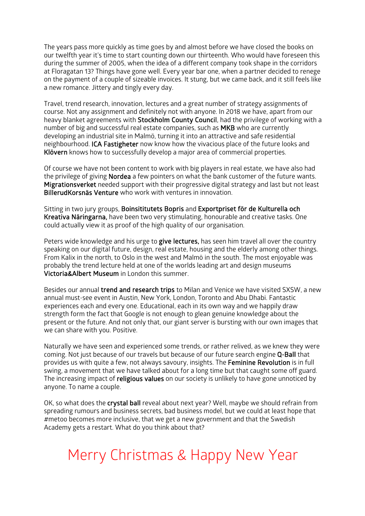The years pass more quickly as time goes by and almost before we have closed the books on our twelfth year it's time to start counting down our thirteenth. Who would have foreseen this during the summer of 2005, when the idea of a different company took shape in the corridors at Floragatan 13? Things have gone well. Every year bar one, when a partner decided to renege on the payment of a couple of sizeable invoices. It stung, but we came back, and it still feels like a new romance. Jittery and tingly every day.

Travel, trend research, innovation, lectures and a great number of strategy assignments of course. Not any assignment and definitely not with anyone. In 2018 we have, apart from our heavy blanket agreements with Stockholm County Council, had the privilege of working with a number of big and successful real estate companies, such as MKB who are currently developing an industrial site in Malmö, turning it into an attractive and safe residential neighbourhood. ICA Fastigheter now know how the vivacious place of the future looks and Klövern knows how to successfully develop a major area of commercial properties.

Of course we have not been content to work with big players in real estate, we have also had the privilege of giving **Nordea** a few pointers on what the bank customer of the future wants. Migrationsverket needed support with their progressive digital strategy and last but not least BillerudKorsnäs Venture who work with ventures in innovation.

Sitting in two jury groups, Boinsititutets Bopris and Exportpriset för de Kulturella och Kreativa Näringarna, have been two very stimulating, honourable and creative tasks. One could actually view it as proof of the high quality of our organisation.

Peters wide knowledge and his urge to give lectures, has seen him travel all over the country speaking on our digital future, design, real estate, housing and the elderly among other things. From Kalix in the north, to Oslo in the west and Malmö in the south. The most enjoyable was probably the trend lecture held at one of the worlds leading art and design museums Victoria&Albert Museum in London this summer.

Besides our annual trend and research trips to Milan and Venice we have visited SXSW, a new annual must-see event in Austin, New York, London, Toronto and Abu Dhabi. Fantastic experiences each and every one. Educational, each in its own way and we happily draw strength form the fact that Google is not enough to glean genuine knowledge about the present or the future. And not only that, our giant server is bursting with our own images that we can share with you. Positive.

Naturally we have seen and experienced some trends, or rather relived, as we knew they were coming. Not just because of our travels but because of our future search engine Q-Ball that provides us with quite a few, not always savoury, insights. The Feminine Revolution is in full swing, a movement that we have talked about for a long time but that caught some off guard. The increasing impact of **religious values** on our society is unlikely to have gone unnoticed by anyone. To name a couple.

OK, so what does the crystal ball reveal about next year? Well, maybe we should refrain from spreading rumours and business secrets, bad business model, but we could at least hope that #metoo becomes more inclusive, that we get a new government and that the Swedish Academy gets a restart. What do you think about that?

## Merry Christmas & Happy New Year